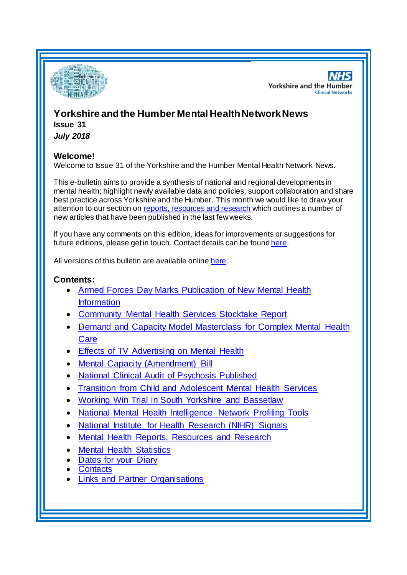

**NHS Yorkshire and the Humber Clinical Networks** 

# **Yorkshire and the Humber Mental HealthNetwork News Issue 31**

*July 2018*

#### **Welcome!**

Welcome to Issue 31 of the Yorkshire and the Humber Mental Health Network News.

This e-bulletin aims to provide a synthesis of national and regional developments in mental health; highlight newly available data and policies, support collaboration and share best practice across Yorkshire and the Humber. This month we would like to draw your attention to our section on [reports, resources and research](#page-0-0) which outlines a number of new articles that have been published in the last few weeks.

If you have any comments on this edition, ideas for improvements or suggestions for future editions, please get in touch. Contact details can be found [here](#page-5-0).

All versions of this bulletin are available onlin[e here](http://www.yhscn.nhs.uk/mental-health-clinic/mental-health-network/MH-documents-and-links.php).

#### **Contents:**

- [Armed Forces Day Marks Publication of New Mental Health](#page-1-0)  **[Information](#page-1-0)**
- [Community Mental Health Services Stocktake Report](#page-1-1)
- [Demand and Capacity Model Masterclass for Complex Mental Health](#page-1-2)  **[Care](#page-1-2)**
- [Effects of TV Advertising on Mental Health](#page-1-3)
- [Mental Capacity \(Amendment\) Bill](#page-1-3)
- [National Clinical Audit of Psychosis Published](#page-2-0)
- [Transition from Child and Adolescent Mental Health Services](#page-2-1)
- [Working Win Trial in South Yorkshire and Bassetlaw](#page-2-2)
- [National Mental Health Intelligence Network Profiling Tools](#page-1-0)
- [National Institute for Health Research \(NIHR\) Signals](#page-2-3)
- [Mental Health Reports, Resources and Research](#page-0-0)
- [Mental Health Statistics](#page-4-0)
- [Dates for your Diary](#page-4-1)
- **[Contacts](#page-5-0)**
- <span id="page-0-0"></span>[Links and Partner Organisations](#page-6-0)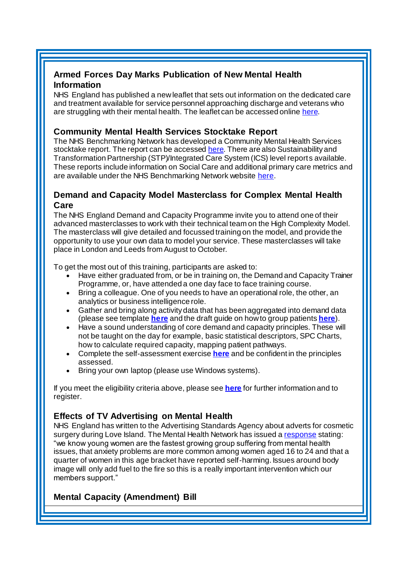### <span id="page-1-0"></span>**Armed Forces Day Marks Publication of New Mental Health Information**

NHS England has published a new leaflet that sets out information on the dedicated care and treatment available for service personnel approaching discharge and veterans who are struggling with their mental health. The leaflet can be accessed onlin[e here](https://www.nhs.uk/NHSEngland/Militaryhealthcare/veterans-families-reservists/Documents/673_NHS%20Veterans%27%20Mental%20Health%20leaflet%20S17%20Online.pdf).

### <span id="page-1-1"></span>**Community Mental Health Services Stocktake Report**

The NHS Benchmarking Network has developed a Community Mental Health Services stocktake report. The report can be accessed [here](http://www.yhscn.nhs.uk/media/PDFs/MH%20North/NHSBN%20CMHS%20Report%20North%20Region%2019-07-2018.pdf). There are also Sustainability and Transformation Partnership (STP)/Integrated Care System (ICS) level reports available. These reports include information on Social Care and additional primary care metrics and are available under the NHS Benchmarking Network website [here.](https://www.nhsbenchmarking.nhs.uk/community-mental-health-stocktake)

#### <span id="page-1-2"></span>**Demand and Capacity Model Masterclass for Complex Mental Health Care**

The NHS England Demand and Capacity Programme invite you to attend one of their advanced masterclasses to work with their technical team on the High Complexity Model. The masterclass will give detailed and focussed training on the model, and provide the opportunity to use your own data to model your service. These masterclasses will take place in London and Leeds from August to October.

To get the most out of this training, participants are asked to:

- Have either graduated from, or be in training on, the Demand and Capacity Trainer Programme, or, have attended a one day face to face training course.
- Bring a colleague. One of you needs to have an operational role, the other, an analytics or business intelligence role.
- Gather and bring along activity data that has been aggregated into demand data (please see template **[here](https://www.england.nhs.uk/north/wp-content/uploads/sites/5/2018/07/Template-aggregated-data-sample-High-Complexity-model.xlsx)** and the draft guide on how to group patients **[here](http://www.yhscn.nhs.uk/media/PDFs/MH%20North/Grouping%20patients%20guidance%20V%200.2.pdf)**).
- Have a sound understanding of core demand and capacity principles. These will not be taught on the day for example, basic statistical descriptors, SPC Charts, how to calculate required capacity, mapping patient pathways.
- Complete the self-assessment exercise **[here](https://www.england.nhs.uk/north/wp-content/uploads/sites/5/2018/07/Assesment-HCM.docx)** and be confident in the principles assessed.
- Bring your own laptop (please use Windows systems).

If you meet the eligibility criteria above, please see **[here](https://www.eventbrite.co.uk/e/demand-and-capacity-model-masterclass-tickets-47995199935)** for further information and to register.

#### <span id="page-1-3"></span>**Effects of TV Advertising on Mental Health**

NHS England has written to the Advertising Standards Agency about adverts for cosmetic surgery during Love Island. The Mental Health Network has issued [a response](http://www.nhsconfed.org/media-centre/2018/07/mental-health-network-says-look-harder-at-effects-of-tv-advertising-on-mental-health) stating: "we know young women are the fastest growing group suffering from mental health issues, that anxiety problems are more common among women aged 16 to 24 and that a quarter of women in this age bracket have reported self-harming. Issues around body image will only add fuel to the fire so this is a really important intervention which our members support."

## **Mental Capacity (Amendment) Bill**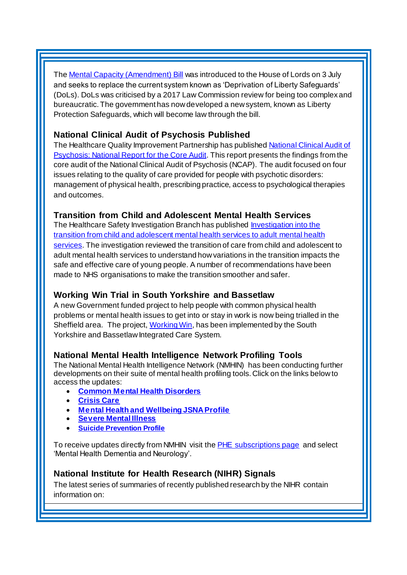Th[e Mental Capacity \(Amendment\) Bill](https://www.gov.uk/government/news/new-law-introduced-to-protect-vulnerable-people-in-care) was introduced to the House of Lords on 3 July and seeks to replace the current system known as 'Deprivation of Liberty Safeguards' (DoLs). DoLs was criticised by a 2017 Law Commission review for being too complex and bureaucratic. The government has now developed a new system, known as Liberty Protection Safeguards, which will become law through the bill.

### <span id="page-2-0"></span>**National Clinical Audit of Psychosis Published**

The Healthcare Quality Improvement Partnership has published National Clinical Audit of [Psychosis: National Report for the Core Audit](https://www.hqip.org.uk/resource/national-clinical-audit-of-psychosis-core-audit-report-2018/#.W0cHgdJKhaQ). This report presents the findings from the core audit of the National Clinical Audit of Psychosis (NCAP). The audit focused on four issues relating to the quality of care provided for people with psychotic disorders: management of physical health, prescribing practice, access to psychological therapies and outcomes.

### <span id="page-2-1"></span>**Transition from Child and Adolescent Mental Health Services**

The Healthcare Safety Investigation Branch has publishe[d Investigation into the](https://www.hsib.org.uk/investigations-cases/transition-from-child-and-adolescent-mental-health-services-to-adult-mental-health-services/final-report/)  [transition from child and adolescent mental health services to adult](https://www.hsib.org.uk/investigations-cases/transition-from-child-and-adolescent-mental-health-services-to-adult-mental-health-services/final-report/) mental health [services.](https://www.hsib.org.uk/investigations-cases/transition-from-child-and-adolescent-mental-health-services-to-adult-mental-health-services/final-report/) The investigation reviewed the transition of care from child and adolescent to adult mental health services to understand how variations in the transition impacts the safe and effective care of young people. A number of recommendations have been made to NHS organisations to make the transition smoother and safer.

## <span id="page-2-2"></span>**Working Win Trial in South Yorkshire and Bassetlaw**

A new Government funded project to help people with common physical health problems or mental health issues to get into or stay in work is now being trialled in the Sheffield area. The project[, Working Win](https://www.yhahsn.org.uk/working-win-trial-starts-sheffield-city-region/), has been implemented by the South Yorkshire and Bassetlaw Integrated Care System.

#### **National Mental Health Intelligence Network Profiling Tools**

The National Mental Health Intelligence Network (NMHIN) has been conducting further developments on their suite of mental health profiling tools. Click on the links below to access the updates:

- **[Common Mental Health Disorders](http://links.govdelivery.com/track?type=click&enid=ZWFzPTEmbXNpZD0mYXVpZD0mbWFpbGluZ2lkPTIwMTcxMjA1LjgxOTE2MDgxJm1lc3NhZ2VpZD1NREItUFJELUJVTC0yMDE3MTIwNS44MTkxNjA4MSZkYXRhYmFzZWlkPTEwMDEmc2VyaWFsPTE2OTcwMTE4JmVtYWlsaWQ9c2FyYWguYm91bEBuaHMubmV0JnVzZXJpZD1zYXJhaC5ib3VsQG5ocy5uZXQmdGFyZ2V0aWQ9JmZsPSZleHRyYT1NdWx0aXZhcmlhdGVJZD0mJiY=&&&104&&&https://fingertips.phe.org.uk/profile-group/mental-health/profile/common-mental-disorders)**
- **[Crisis Care](http://links.govdelivery.com/track?type=click&enid=ZWFzPTEmbXNpZD0mYXVpZD0mbWFpbGluZ2lkPTIwMTcxMjA1LjgxOTE2MDgxJm1lc3NhZ2VpZD1NREItUFJELUJVTC0yMDE3MTIwNS44MTkxNjA4MSZkYXRhYmFzZWlkPTEwMDEmc2VyaWFsPTE2OTcwMTE4JmVtYWlsaWQ9c2FyYWguYm91bEBuaHMubmV0JnVzZXJpZD1zYXJhaC5ib3VsQG5ocy5uZXQmdGFyZ2V0aWQ9JmZsPSZleHRyYT1NdWx0aXZhcmlhdGVJZD0mJiY=&&&105&&&https://fingertips.phe.org.uk/profile-group/mental-health/profile/crisis-care)**
- **[Mental Health and Wellbeing JSNA Profile](http://links.govdelivery.com/track?type=click&enid=ZWFzPTEmbXNpZD0mYXVpZD0mbWFpbGluZ2lkPTIwMTcxMjA1LjgxOTE2MDgxJm1lc3NhZ2VpZD1NREItUFJELUJVTC0yMDE3MTIwNS44MTkxNjA4MSZkYXRhYmFzZWlkPTEwMDEmc2VyaWFsPTE2OTcwMTE4JmVtYWlsaWQ9c2FyYWguYm91bEBuaHMubmV0JnVzZXJpZD1zYXJhaC5ib3VsQG5ocy5uZXQmdGFyZ2V0aWQ9JmZsPSZleHRyYT1NdWx0aXZhcmlhdGVJZD0mJiY=&&&106&&&https://fingertips.phe.org.uk/profile-group/mental-health/profile/mh-jsna)**
- **[Severe Mental Illness](http://links.govdelivery.com/track?type=click&enid=ZWFzPTEmbXNpZD0mYXVpZD0mbWFpbGluZ2lkPTIwMTcxMjA1LjgxOTE2MDgxJm1lc3NhZ2VpZD1NREItUFJELUJVTC0yMDE3MTIwNS44MTkxNjA4MSZkYXRhYmFzZWlkPTEwMDEmc2VyaWFsPTE2OTcwMTE4JmVtYWlsaWQ9c2FyYWguYm91bEBuaHMubmV0JnVzZXJpZD1zYXJhaC5ib3VsQG5ocy5uZXQmdGFyZ2V0aWQ9JmZsPSZleHRyYT1NdWx0aXZhcmlhdGVJZD0mJiY=&&&108&&&https://fingertips.phe.org.uk/profile-group/mental-health/profile/severe-mental-illness)**
- **[Suicide Prevention Profile](http://links.govdelivery.com/track?type=click&enid=ZWFzPTEmbXNpZD0mYXVpZD0mbWFpbGluZ2lkPTIwMTgwNjA1LjkwNzEwNzExJm1lc3NhZ2VpZD1NREItUFJELUJVTC0yMDE4MDYwNS45MDcxMDcxMSZkYXRhYmFzZWlkPTEwMDEmc2VyaWFsPTE3MDEzODU4JmVtYWlsaWQ9c2FyYWguYm91bEBuaHMubmV0JnVzZXJpZD1zYXJhaC5ib3VsQG5ocy5uZXQmdGFyZ2V0aWQ9JmZsPSZleHRyYT1NdWx0aXZhcmlhdGVJZD0mJiY=&&&104&&&https://fingertips.phe.org.uk/profile-group/mental-health/profile/suicide)**

To receive updates directly from NMHIN visit the [PHE subscriptions page](http://links.govdelivery.com/track?type=click&enid=ZWFzPTEmbXNpZD0mYXVpZD0mbWFpbGluZ2lkPTIwMTgwMjA3Ljg0OTY1MzgxJm1lc3NhZ2VpZD1NREItUFJELUJVTC0yMDE4MDIwNy44NDk2NTM4MSZkYXRhYmFzZWlkPTEwMDEmc2VyaWFsPTE2OTgzNDk5JmVtYWlsaWQ9c2FyYWguYm91bEBuaHMubmV0JnVzZXJpZD1zYXJhaC5ib3VsQG5ocy5uZXQmdGFyZ2V0aWQ9JmZsPSZleHRyYT1NdWx0aXZhcmlhdGVJZD0mJiY=&&&107&&&https://public.govdelivery.com/accounts/UKHPA/subscribers/new?preferences=true) and select 'Mental Health Dementia and Neurology'.

#### <span id="page-2-3"></span>**National Institute for Health Research (NIHR) Signals**

The latest series of summaries of recently published research by the NIHR contain information on: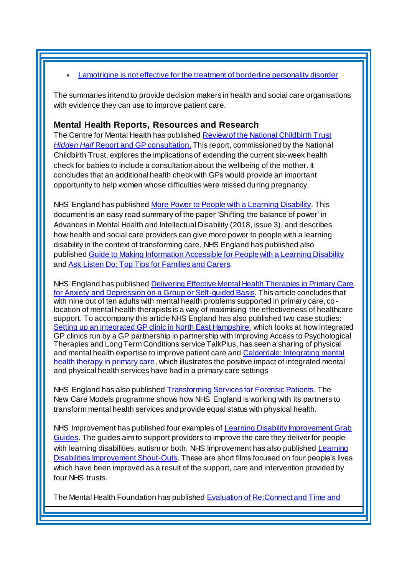#### [Lamotrigine is not effective for the treatment of borderline personality disorder](https://discover.dc.nihr.ac.uk/content/signal-000617/lamotrigine-is-not-effective-for-the-treatment-of-borderline-personality-disorder)

The summaries intend to provide decision makers in health and social care organisations with evidence they can use to improve patient care.

#### **Mental Health Reports, Resources and Research**

The Centre for Mental Health has publishe[d Review of the National Childbirth Trust](https://www.centreformentalhealth.org.uk/review-of-the-national-childbirth-trust-hidden-half-report-and-gp-consultation)  *Hidden Half* [Report and GP consultation.](https://www.centreformentalhealth.org.uk/review-of-the-national-childbirth-trust-hidden-half-report-and-gp-consultation) This report, commissioned by the National Childbirth Trust, explores the implications of extending the current six-week health check for babies to include a consultation about the wellbeing of the mother. It concludes that an additional health check with GPs would provide an important opportunity to help women whose difficulties were missed during pregnancy.

NHS England has publishe[d More Power to People with a Learning Disability](https://www.england.nhs.uk/publication/more-power-to-people-with-a-learning-disability/). This document is an easy read summary of the paper 'Shifting the balance of power' in Advances in Mental Health and Intellectual Disability (2018, issue 3), and describes how health and social care providers can give more power to people with a learning disability in the context of transforming care. NHS England has published also publishe[d Guide to Making Information Accessible for People with a Learning Disability](https://www.england.nhs.uk/publication/guide-to-making-information-accessible-for-people-with-a-learning-disability/) and Ask [Listen Do: Top Tips for Families and Carers](https://www.england.nhs.uk/publication/ask-listen-do-top-tips-for-families-and-carers/).

NHS England has publishe[d Delivering Effective Mental Health Therapies in Primary Care](https://www.england.nhs.uk/blog/delivering-effective-mental-health-therapies-in-primary-care/)  [for Anxiety and Depression on a Group or Self-guided Basis](https://www.england.nhs.uk/blog/delivering-effective-mental-health-therapies-in-primary-care/). This article concludes that with nine out of ten adults with mental health problems supported in primary care, colocation of mental health therapists is a way of maximising the effectiveness of healthcare support. To accompany this article NHS England has also published two case studies: [Setting up an integrated GP clinic in North East Hampshire,](https://www.england.nhs.uk/publication/setting-up-an-integrated-gp-clinic-in-north-east-hampshire/) which looks at how integrated GP clinics run by a GP partnership in partnership with Improving Access to Psychological Therapies and Long Term Conditions service TalkPlus, has seen a sharing of physical and mental health expertise to improve patient care and **Calderdale: Integrating mental** [health therapy in primary care](https://www.england.nhs.uk/publication/calderdale-integrating-mental-health-therapy-in-primary-care/), which illustrates the positive impact of integrated mental and physical health services have had in a primary care settings

NHS England has also publishe[d Transforming Services for Forensic Patients](https://www.england.nhs.uk/blog/transforming-services-for-forensic-patients/). The New Care Models programme shows how NHS England is working with its partners to transform mental health services and provide equal status with physical health.

NHS Improvement has published four examples of Learning Disability Improvement Grab [Guides.](https://improvement.nhs.uk/resources/learning-disability-improvement-guides/) The guides aim to support providers to improve the care they deliver for people with learning disabilities, autism or both. NHS Improvement has also published Learning [Disabilities Improvement Shout-Outs](https://improvement.nhs.uk/resources/learning-disabilities-improvement-shout-outs/). These are short films focused on four people's lives which have been improved as a result of the support, care and intervention provided by four NHS trusts.

The Mental Health Foundation has published **Evaluation of Re:Connect and Time and**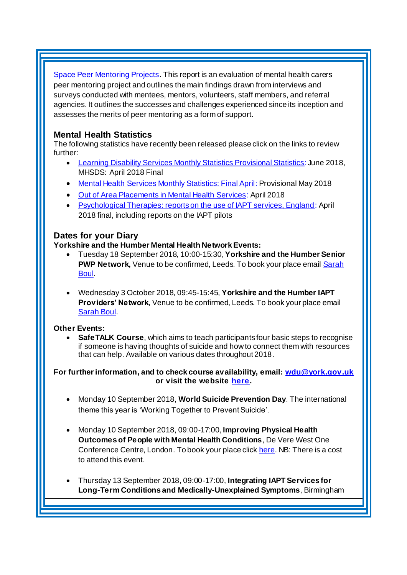[Space Peer Mentoring Projects](https://www.mentalhealth.org.uk/publications/evaluation-reconnect-and-time-and-space-peer-mentoring-projects). This report is an evaluation of mental health carers peer mentoring project and outlines the main findings drawn from interviews and surveys conducted with mentees, mentors, volunteers, staff members, and referral agencies. It outlines the successes and challenges experienced since its inception and assesses the merits of peer mentoring as a form of support.

### <span id="page-4-0"></span>**Mental Health Statistics**

The following statistics have recently been released please click on the links to review further:

- <span id="page-4-1"></span> [Learning Disability Services Monthly Statistics Provisional Statistics](https://digital.nhs.uk/data-and-information/publications/statistical/learning-disability-services-statistics/learning-disability-services-monthly-statistics---provisional-statistics-at-june-2018-mhsds-april-2018-final): June 2018, MHSDS: April 2018 Final
- [Mental Health Services Monthly Statistics: Final April](https://digital.nhs.uk/data-and-information/publications/statistical/mental-health-services-monthly-statistics/mental-health-services-monthly-statistics-final-april-provisional-may-2018): Provisional May 2018
- [Out of Area Placements in Mental Health Services:](https://digital.nhs.uk/data-and-information/publications/statistical/out-of-area-placements-in-mental-health-services/april-2018) April 2018
- [Psychological Therapies: reports on the use of IAPT services, England](https://digital.nhs.uk/data-and-information/publications/statistical/psychological-therapies-report-on-the-use-of-iapt-services/psychological-therapies-reports-on-the-use-of-iapt-services-england-april-2018-final-including-reports-on-the-iapt-pilots): April 2018 final, including reports on the IAPT pilots

### **Dates for your Diary**

#### **Yorkshire and the Humber Mental Health Network Events:**

- Tuesday 18 September 2018, 10:00-15:30, **Yorkshire and the Humber Senior PWP Network,** Venue to be confirmed, Leeds. To book your place email **Sarah** [Boul.](mailto:sarah.boul@nhs.net?subject=Senior%20PWP%20Network)
- Wednesday 3 October 2018, 09:45-15:45, **Yorkshire and the Humber IAPT Providers' Network,** Venue to be confirmed, Leeds. To book your place email [Sarah Boul.](mailto:sarah.boul@nhs.net?subject=IAPT%20Providers%20Network)

#### **Other Events:**

 **SafeTALK Course**, which aims to teach participants four basic steps to recognise if someone is having thoughts of suicide and how to connect them with resources that can help. Available on various dates throughout 2018.

**For further information, and to check course availability, email: [wdu@york.gov.uk](mailto:wdu@york.gov.uk) or visit the websit[e here](http://www.yorkworkforcedevelopment.org.uk/).**

- Monday 10 September 2018, **World Suicide Prevention Day**. The international theme this year is 'Working Together to Prevent Suicide'.
- Monday 10 September 2018, 09:00-17:00, **Improving Physical Health Outcomes of People with Mental Health Conditions**, De Vere West One Conference Centre, London. To book your place clic[k here](https://www.healthcareconferencesuk.co.uk/event/1391/book). NB: There is a cost to attend this event.
- Thursday 13 September 2018, 09:00-17:00, **Integrating IAPT Services for Long-Term Conditions and Medically-Unexplained Symptoms**, Birmingham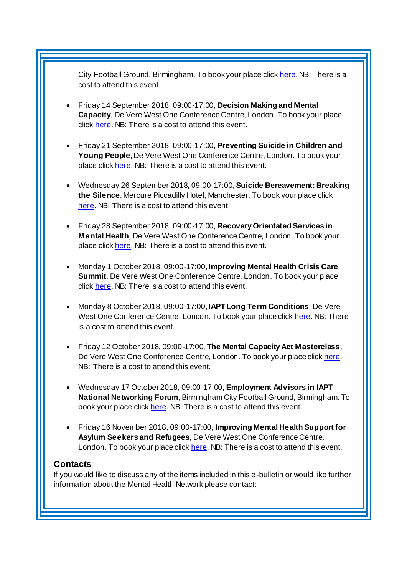City Football Ground, Birmingham. To book your place clic[k here](http://www.iapt-nnf.co.uk/Home/ViewEvent/92?utm_source=SBK%20Healthcare&utm_medium=email&utm_campaign=9574227_1864PT%205th%20email&dm_i=1SB0,5P7IR,MCTTTA,M6VN3,1). NB: There is a cost to attend this event.

- Friday 14 September 2018, 09:00-17:00, **Decision Making and Mental Capacity**, De Vere West One Conference Centre, London. To book your place click [here.](https://www.healthcareconferencesuk.co.uk/event/1360/book) NB: There is a cost to attend this event.
- Friday 21 September 2018, 09:00-17:00, **Preventing Suicide in Children and Young People**, De Vere West One Conference Centre, London. To book your place click [here.](https://www.healthcareconferencesuk.co.uk/event/1352/book) NB: There is a cost to attend this event.
- Wednesday 26 September 2018, 09:00-17:00, **Suicide Bereavement: Breaking the Silence**, Mercure Piccadilly Hotel, Manchester. To book your place click [here.](https://suicidebereavementuk.com/suicide-bereavement-conference) NB: There is a cost to attend this event.
- Friday 28 September 2018, 09:00-17:00, **Recovery Orientated Services in Mental Health**, De Vere West One Conference Centre, London. To book your place click [here.](https://www.healthcareconferencesuk.co.uk/event/1152/book) NB: There is a cost to attend this event.
- Monday 1 October 2018, 09:00-17:00, **Improving Mental Health Crisis Care Summit**, De Vere West One Conference Centre, London. To book your place click [here.](https://www.healthcareconferencesuk.co.uk/event/1171/book) NB: There is a cost to attend this event.
- Monday 8 October 2018, 09:00-17:00, **IAPT Long Term Conditions**, De Vere West One Conference Centre, London. To book your place clic[k here](https://www.healthcareconferencesuk.co.uk/event/1397/book). NB: There is a cost to attend this event.
- Friday 12 October 2018, 09:00-17:00, **The Mental Capacity Act Masterclass**, De Vere West One Conference Centre, London. To book your place clic[k here](https://www.healthcareconferencesuk.co.uk/event/1283/book). NB: There is a cost to attend this event.
- Wednesday 17 October 2018, 09:00-17:00, **Employment Advisors in IAPT National Networking Forum**, Birmingham City Football Ground, Birmingham. To book your place clic[k here.](http://www.iapt-nnf.co.uk/Home/ViewEvent/93?utm_source=SBK%20Healthcare&utm_medium=email&utm_campaign=9489940_New%20PT%20Employment&dm_i=1SB0,5NEHG,MCTTTA,LZ3VY,1) NB: There is a cost to attend this event.
- Friday 16 November 2018, 09:00-17:00, **Improving Mental Health Support for Asylum Seekers and Refugees**, De Vere West One Conference Centre, London. To book your place clic[k here.](https://www.healthcareconferencesuk.co.uk/event/1209/book) NB: There is a cost to attend this event.

#### <span id="page-5-0"></span>**Contacts**

If you would like to discuss any of the items included in this e-bulletin or would like further information about the Mental Health Network please contact: